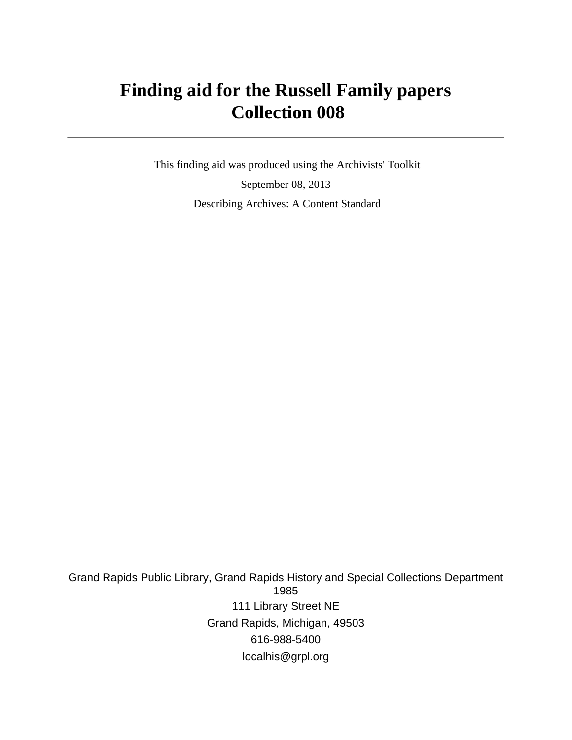# **Finding aid for the Russell Family papers Collection 008**

 This finding aid was produced using the Archivists' Toolkit September 08, 2013 Describing Archives: A Content Standard

Grand Rapids Public Library, Grand Rapids History and Special Collections Department 1985 111 Library Street NE Grand Rapids, Michigan, 49503 616-988-5400 localhis@grpl.org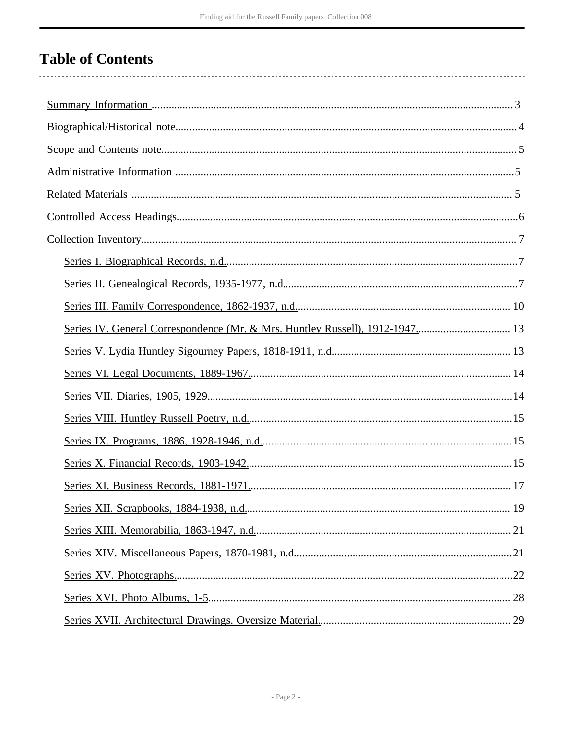# **Table of Contents**

| Series IV. General Correspondence (Mr. & Mrs. Huntley Russell), 1912-1947 13 |  |
|------------------------------------------------------------------------------|--|
|                                                                              |  |
|                                                                              |  |
|                                                                              |  |
|                                                                              |  |
|                                                                              |  |
|                                                                              |  |
|                                                                              |  |
|                                                                              |  |
|                                                                              |  |
|                                                                              |  |
|                                                                              |  |
|                                                                              |  |
|                                                                              |  |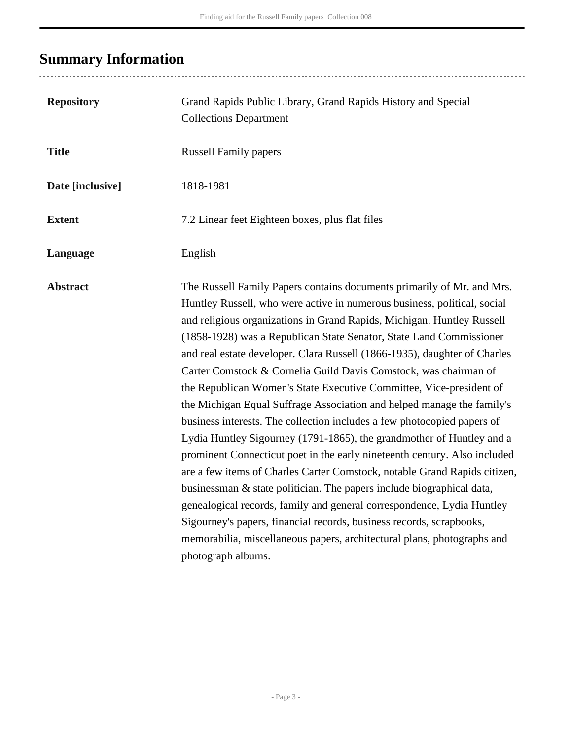# <span id="page-2-0"></span>**Summary Information**

| <b>Repository</b> | Grand Rapids Public Library, Grand Rapids History and Special<br><b>Collections Department</b>                                                                                                                                                                                                                                                                                                                                                                                                                                                                                                                                                                                                                                                                                                                                                                                                                                                                                                                                                                                                                                                                                                                                                  |
|-------------------|-------------------------------------------------------------------------------------------------------------------------------------------------------------------------------------------------------------------------------------------------------------------------------------------------------------------------------------------------------------------------------------------------------------------------------------------------------------------------------------------------------------------------------------------------------------------------------------------------------------------------------------------------------------------------------------------------------------------------------------------------------------------------------------------------------------------------------------------------------------------------------------------------------------------------------------------------------------------------------------------------------------------------------------------------------------------------------------------------------------------------------------------------------------------------------------------------------------------------------------------------|
| <b>Title</b>      | <b>Russell Family papers</b>                                                                                                                                                                                                                                                                                                                                                                                                                                                                                                                                                                                                                                                                                                                                                                                                                                                                                                                                                                                                                                                                                                                                                                                                                    |
| Date [inclusive]  | 1818-1981                                                                                                                                                                                                                                                                                                                                                                                                                                                                                                                                                                                                                                                                                                                                                                                                                                                                                                                                                                                                                                                                                                                                                                                                                                       |
| <b>Extent</b>     | 7.2 Linear feet Eighteen boxes, plus flat files                                                                                                                                                                                                                                                                                                                                                                                                                                                                                                                                                                                                                                                                                                                                                                                                                                                                                                                                                                                                                                                                                                                                                                                                 |
| Language          | English                                                                                                                                                                                                                                                                                                                                                                                                                                                                                                                                                                                                                                                                                                                                                                                                                                                                                                                                                                                                                                                                                                                                                                                                                                         |
| <b>Abstract</b>   | The Russell Family Papers contains documents primarily of Mr. and Mrs.<br>Huntley Russell, who were active in numerous business, political, social<br>and religious organizations in Grand Rapids, Michigan. Huntley Russell<br>(1858-1928) was a Republican State Senator, State Land Commissioner<br>and real estate developer. Clara Russell (1866-1935), daughter of Charles<br>Carter Comstock & Cornelia Guild Davis Comstock, was chairman of<br>the Republican Women's State Executive Committee, Vice-president of<br>the Michigan Equal Suffrage Association and helped manage the family's<br>business interests. The collection includes a few photocopied papers of<br>Lydia Huntley Sigourney (1791-1865), the grandmother of Huntley and a<br>prominent Connecticut poet in the early nineteenth century. Also included<br>are a few items of Charles Carter Comstock, notable Grand Rapids citizen,<br>businessman & state politician. The papers include biographical data,<br>genealogical records, family and general correspondence, Lydia Huntley<br>Sigourney's papers, financial records, business records, scrapbooks,<br>memorabilia, miscellaneous papers, architectural plans, photographs and<br>photograph albums. |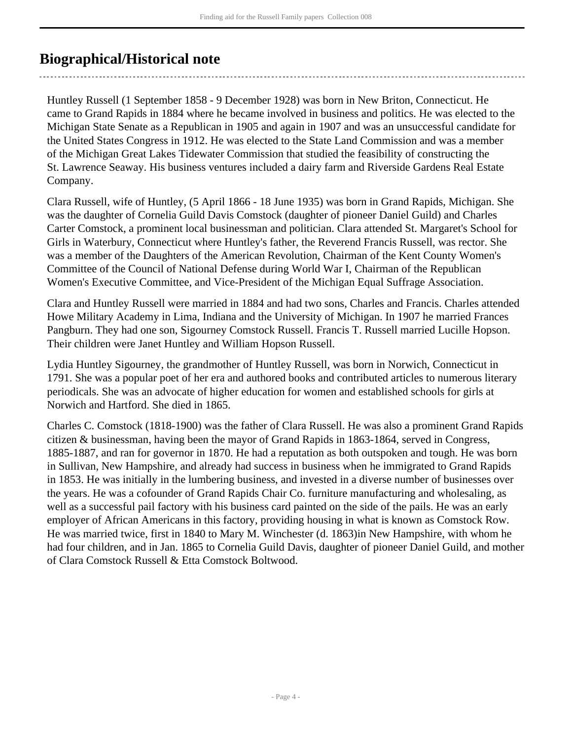## <span id="page-3-0"></span>**Biographical/Historical note**

Huntley Russell (1 September 1858 - 9 December 1928) was born in New Briton, Connecticut. He came to Grand Rapids in 1884 where he became involved in business and politics. He was elected to the Michigan State Senate as a Republican in 1905 and again in 1907 and was an unsuccessful candidate for the United States Congress in 1912. He was elected to the State Land Commission and was a member of the Michigan Great Lakes Tidewater Commission that studied the feasibility of constructing the St. Lawrence Seaway. His business ventures included a dairy farm and Riverside Gardens Real Estate Company.

Clara Russell, wife of Huntley, (5 April 1866 - 18 June 1935) was born in Grand Rapids, Michigan. She was the daughter of Cornelia Guild Davis Comstock (daughter of pioneer Daniel Guild) and Charles Carter Comstock, a prominent local businessman and politician. Clara attended St. Margaret's School for Girls in Waterbury, Connecticut where Huntley's father, the Reverend Francis Russell, was rector. She was a member of the Daughters of the American Revolution, Chairman of the Kent County Women's Committee of the Council of National Defense during World War I, Chairman of the Republican Women's Executive Committee, and Vice-President of the Michigan Equal Suffrage Association.

Clara and Huntley Russell were married in 1884 and had two sons, Charles and Francis. Charles attended Howe Military Academy in Lima, Indiana and the University of Michigan. In 1907 he married Frances Pangburn. They had one son, Sigourney Comstock Russell. Francis T. Russell married Lucille Hopson. Their children were Janet Huntley and William Hopson Russell.

Lydia Huntley Sigourney, the grandmother of Huntley Russell, was born in Norwich, Connecticut in 1791. She was a popular poet of her era and authored books and contributed articles to numerous literary periodicals. She was an advocate of higher education for women and established schools for girls at Norwich and Hartford. She died in 1865.

Charles C. Comstock (1818-1900) was the father of Clara Russell. He was also a prominent Grand Rapids citizen & businessman, having been the mayor of Grand Rapids in 1863-1864, served in Congress, 1885-1887, and ran for governor in 1870. He had a reputation as both outspoken and tough. He was born in Sullivan, New Hampshire, and already had success in business when he immigrated to Grand Rapids in 1853. He was initially in the lumbering business, and invested in a diverse number of businesses over the years. He was a cofounder of Grand Rapids Chair Co. furniture manufacturing and wholesaling, as well as a successful pail factory with his business card painted on the side of the pails. He was an early employer of African Americans in this factory, providing housing in what is known as Comstock Row. He was married twice, first in 1840 to Mary M. Winchester (d. 1863)in New Hampshire, with whom he had four children, and in Jan. 1865 to Cornelia Guild Davis, daughter of pioneer Daniel Guild, and mother of Clara Comstock Russell & Etta Comstock Boltwood.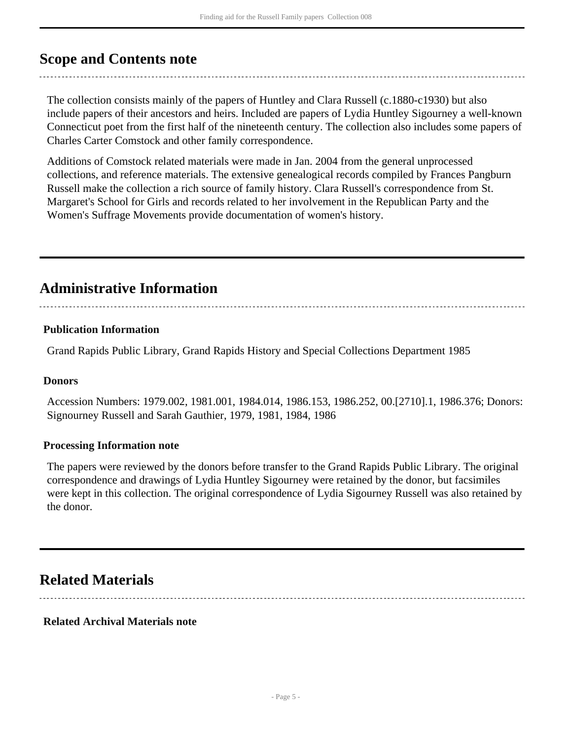## <span id="page-4-0"></span>**Scope and Contents note**

The collection consists mainly of the papers of Huntley and Clara Russell (c.1880-c1930) but also include papers of their ancestors and heirs. Included are papers of Lydia Huntley Sigourney a well-known Connecticut poet from the first half of the nineteenth century. The collection also includes some papers of Charles Carter Comstock and other family correspondence.

Additions of Comstock related materials were made in Jan. 2004 from the general unprocessed collections, and reference materials. The extensive genealogical records compiled by Frances Pangburn Russell make the collection a rich source of family history. Clara Russell's correspondence from St. Margaret's School for Girls and records related to her involvement in the Republican Party and the Women's Suffrage Movements provide documentation of women's history.

## <span id="page-4-1"></span>**Administrative Information**

#### **Publication Information**

Grand Rapids Public Library, Grand Rapids History and Special Collections Department 1985

#### **Donors**

Accession Numbers: 1979.002, 1981.001, 1984.014, 1986.153, 1986.252, 00.[2710].1, 1986.376; Donors: Signourney Russell and Sarah Gauthier, 1979, 1981, 1984, 1986

#### **Processing Information note**

The papers were reviewed by the donors before transfer to the Grand Rapids Public Library. The original correspondence and drawings of Lydia Huntley Sigourney were retained by the donor, but facsimiles were kept in this collection. The original correspondence of Lydia Sigourney Russell was also retained by the donor.

## <span id="page-4-2"></span>**Related Materials**

#### **Related Archival Materials note**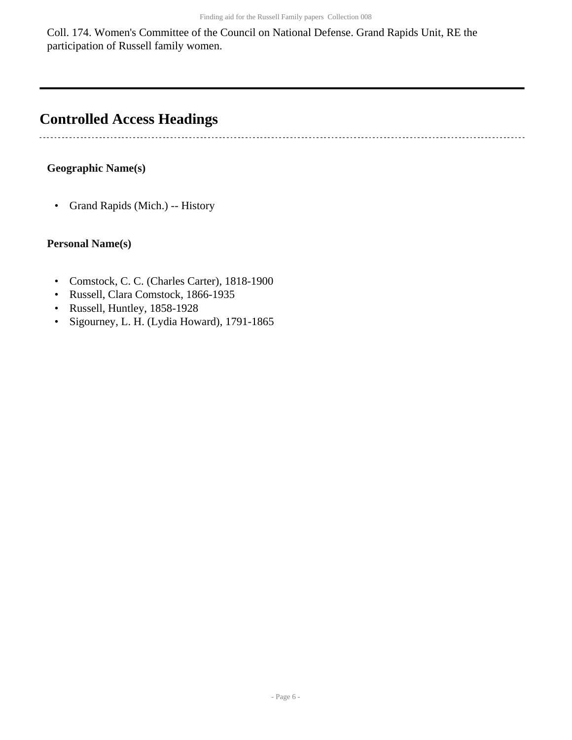Coll. 174. Women's Committee of the Council on National Defense. Grand Rapids Unit, RE the participation of Russell family women.

## <span id="page-5-0"></span>**Controlled Access Headings**

#### **Geographic Name(s)**

 $\ddot{\phantom{0}}$ 

• Grand Rapids (Mich.) -- History

#### **Personal Name(s)**

- Comstock, C. C. (Charles Carter), 1818-1900
- Russell, Clara Comstock, 1866-1935
- Russell, Huntley, 1858-1928
- Sigourney, L. H. (Lydia Howard), 1791-1865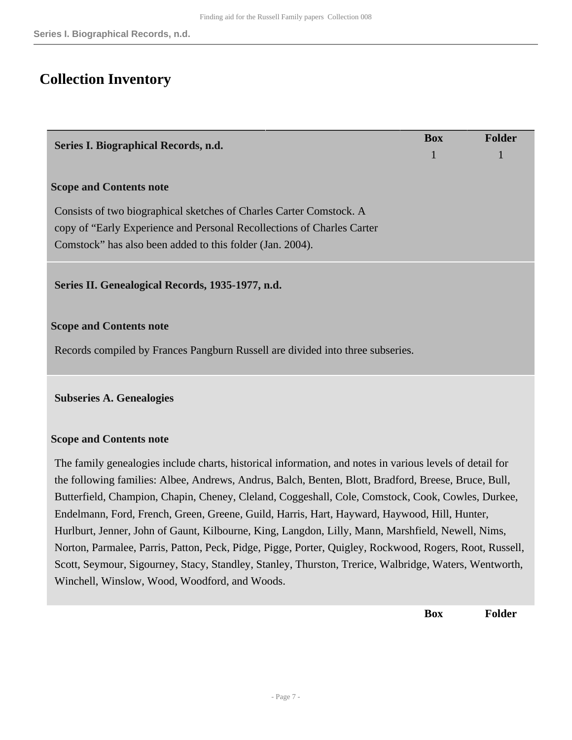## <span id="page-6-0"></span>**Collection Inventory**

<span id="page-6-2"></span><span id="page-6-1"></span>

| Series I. Biographical Records, n.d.                                                                                                                                                                             | <b>Box</b> | <b>Folder</b> |
|------------------------------------------------------------------------------------------------------------------------------------------------------------------------------------------------------------------|------------|---------------|
|                                                                                                                                                                                                                  | 1          |               |
| <b>Scope and Contents note</b>                                                                                                                                                                                   |            |               |
| Consists of two biographical sketches of Charles Carter Comstock. A                                                                                                                                              |            |               |
| copy of "Early Experience and Personal Recollections of Charles Carter                                                                                                                                           |            |               |
| Comstock" has also been added to this folder (Jan. 2004).                                                                                                                                                        |            |               |
| Series II. Genealogical Records, 1935-1977, n.d.                                                                                                                                                                 |            |               |
| <b>Scope and Contents note</b>                                                                                                                                                                                   |            |               |
| Records compiled by Frances Pangburn Russell are divided into three subseries.                                                                                                                                   |            |               |
| <b>Subseries A. Genealogies</b>                                                                                                                                                                                  |            |               |
| <b>Scope and Contents note</b>                                                                                                                                                                                   |            |               |
| The family genealogies include charts, historical information, and notes in various levels of detail for<br>the following families: Albee, Andrews, Andrus, Balch, Benten, Blott, Bradford, Breese, Bruce, Bull, |            |               |

the following families: Albee, Andrews, Andrus, Balch, Benten, Blott, Bradford, Breese, Bruce, Bull, Butterfield, Champion, Chapin, Cheney, Cleland, Coggeshall, Cole, Comstock, Cook, Cowles, Durkee, Endelmann, Ford, French, Green, Greene, Guild, Harris, Hart, Hayward, Haywood, Hill, Hunter, Hurlburt, Jenner, John of Gaunt, Kilbourne, King, Langdon, Lilly, Mann, Marshfield, Newell, Nims, Norton, Parmalee, Parris, Patton, Peck, Pidge, Pigge, Porter, Quigley, Rockwood, Rogers, Root, Russell, Scott, Seymour, Sigourney, Stacy, Standley, Stanley, Thurston, Trerice, Walbridge, Waters, Wentworth, Winchell, Winslow, Wood, Woodford, and Woods.

**Box Folder**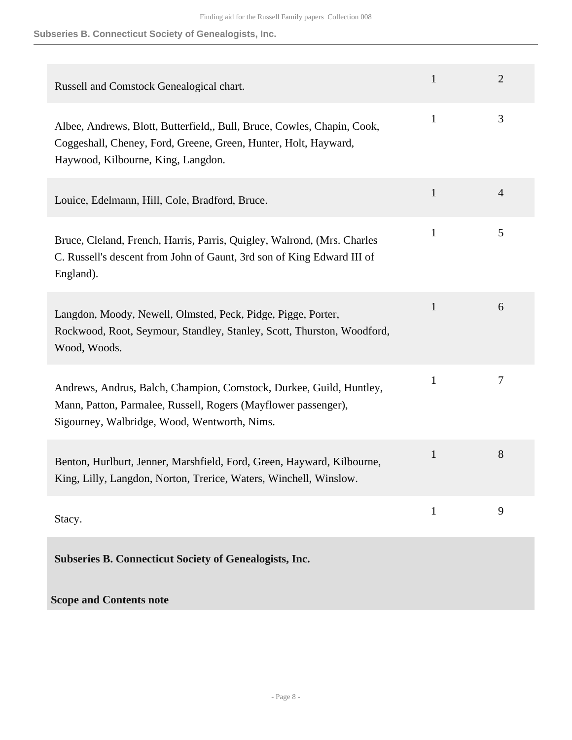#### **Subseries B. Connecticut Society of Genealogists, Inc.**

| Russell and Comstock Genealogical chart.                                                                                                                                              | $\mathbf{1}$ | $\overline{2}$ |
|---------------------------------------------------------------------------------------------------------------------------------------------------------------------------------------|--------------|----------------|
| Albee, Andrews, Blott, Butterfield,, Bull, Bruce, Cowles, Chapin, Cook,<br>Coggeshall, Cheney, Ford, Greene, Green, Hunter, Holt, Hayward,<br>Haywood, Kilbourne, King, Langdon.      | $\mathbf{1}$ | 3              |
| Louice, Edelmann, Hill, Cole, Bradford, Bruce.                                                                                                                                        | $\mathbf{1}$ | 4              |
| Bruce, Cleland, French, Harris, Parris, Quigley, Walrond, (Mrs. Charles<br>C. Russell's descent from John of Gaunt, 3rd son of King Edward III of<br>England).                        | $\mathbf{1}$ | 5              |
| Langdon, Moody, Newell, Olmsted, Peck, Pidge, Pigge, Porter,<br>Rockwood, Root, Seymour, Standley, Stanley, Scott, Thurston, Woodford,<br>Wood, Woods.                                | $\mathbf{1}$ | 6              |
| Andrews, Andrus, Balch, Champion, Comstock, Durkee, Guild, Huntley,<br>Mann, Patton, Parmalee, Russell, Rogers (Mayflower passenger),<br>Sigourney, Walbridge, Wood, Wentworth, Nims. | $\mathbf{1}$ | 7              |
| Benton, Hurlburt, Jenner, Marshfield, Ford, Green, Hayward, Kilbourne,<br>King, Lilly, Langdon, Norton, Trerice, Waters, Winchell, Winslow.                                           | $\mathbf{1}$ | 8              |
| Stacy.                                                                                                                                                                                | $\mathbf{1}$ | 9              |
| <b>Subseries B. Connecticut Society of Genealogists, Inc.</b>                                                                                                                         |              |                |
| <b>Scope and Contents note</b>                                                                                                                                                        |              |                |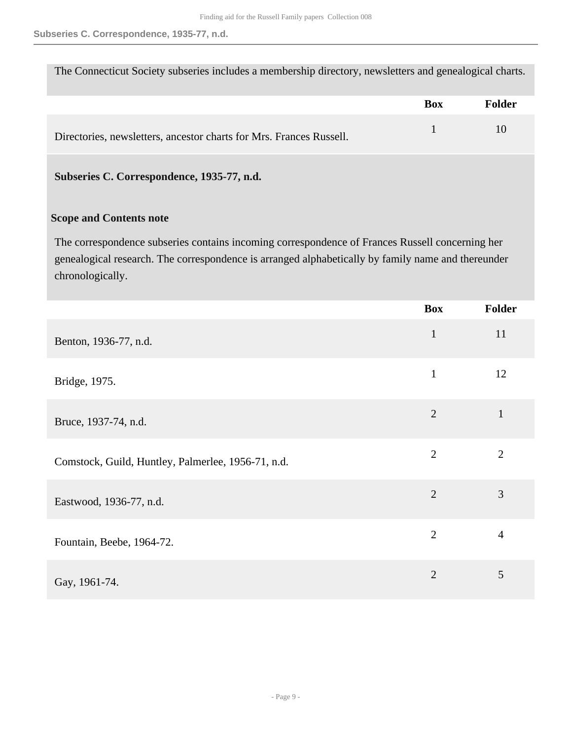The Connecticut Society subseries includes a membership directory, newsletters and genealogical charts.

|                                                                     | <b>Box</b> | Folder |
|---------------------------------------------------------------------|------------|--------|
| Directories, newsletters, ancestor charts for Mrs. Frances Russell. |            |        |

#### **Subseries C. Correspondence, 1935-77, n.d.**

#### **Scope and Contents note**

The correspondence subseries contains incoming correspondence of Frances Russell concerning her genealogical research. The correspondence is arranged alphabetically by family name and thereunder chronologically.

|                                                    | <b>Box</b>     | Folder         |
|----------------------------------------------------|----------------|----------------|
| Benton, 1936-77, n.d.                              | $\mathbf{1}$   | 11             |
| Bridge, 1975.                                      | $\mathbf{1}$   | 12             |
| Bruce, 1937-74, n.d.                               | $\overline{2}$ | $\mathbf{1}$   |
| Comstock, Guild, Huntley, Palmerlee, 1956-71, n.d. | $\overline{2}$ | $\overline{2}$ |
| Eastwood, 1936-77, n.d.                            | $\overline{2}$ | 3              |
| Fountain, Beebe, 1964-72.                          | $\overline{2}$ | $\overline{4}$ |
| Gay, 1961-74.                                      | $\overline{2}$ | 5              |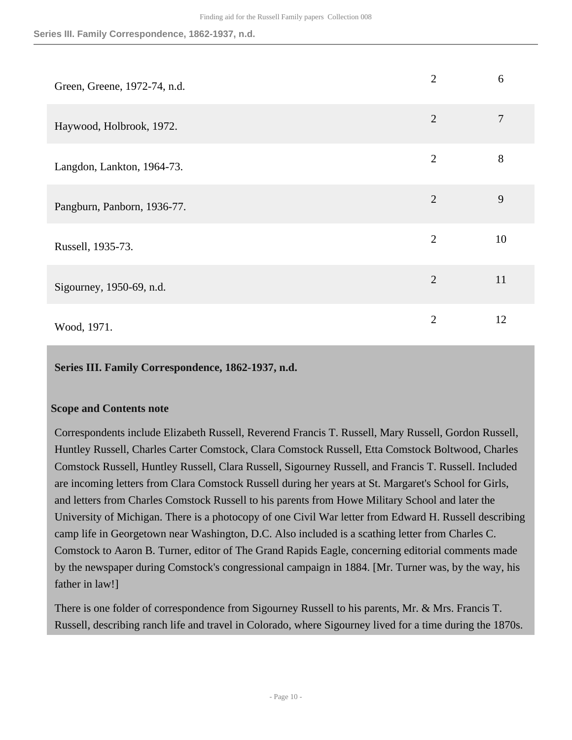**Series III. Family Correspondence, 1862-1937, n.d.**

| Green, Greene, 1972-74, n.d. | $\overline{2}$ | 6  |
|------------------------------|----------------|----|
| Haywood, Holbrook, 1972.     | $\overline{2}$ | 7  |
| Langdon, Lankton, 1964-73.   | $\overline{2}$ | 8  |
| Pangburn, Panborn, 1936-77.  | $\overline{2}$ | 9  |
| Russell, 1935-73.            | $\overline{2}$ | 10 |
| Sigourney, 1950-69, n.d.     | $\overline{2}$ | 11 |
| Wood, 1971.                  | $\overline{2}$ | 12 |

#### <span id="page-9-0"></span>**Series III. Family Correspondence, 1862-1937, n.d.**

#### **Scope and Contents note**

Correspondents include Elizabeth Russell, Reverend Francis T. Russell, Mary Russell, Gordon Russell, Huntley Russell, Charles Carter Comstock, Clara Comstock Russell, Etta Comstock Boltwood, Charles Comstock Russell, Huntley Russell, Clara Russell, Sigourney Russell, and Francis T. Russell. Included are incoming letters from Clara Comstock Russell during her years at St. Margaret's School for Girls, and letters from Charles Comstock Russell to his parents from Howe Military School and later the University of Michigan. There is a photocopy of one Civil War letter from Edward H. Russell describing camp life in Georgetown near Washington, D.C. Also included is a scathing letter from Charles C. Comstock to Aaron B. Turner, editor of The Grand Rapids Eagle, concerning editorial comments made by the newspaper during Comstock's congressional campaign in 1884. [Mr. Turner was, by the way, his father in law!]

There is one folder of correspondence from Sigourney Russell to his parents, Mr. & Mrs. Francis T. Russell, describing ranch life and travel in Colorado, where Sigourney lived for a time during the 1870s.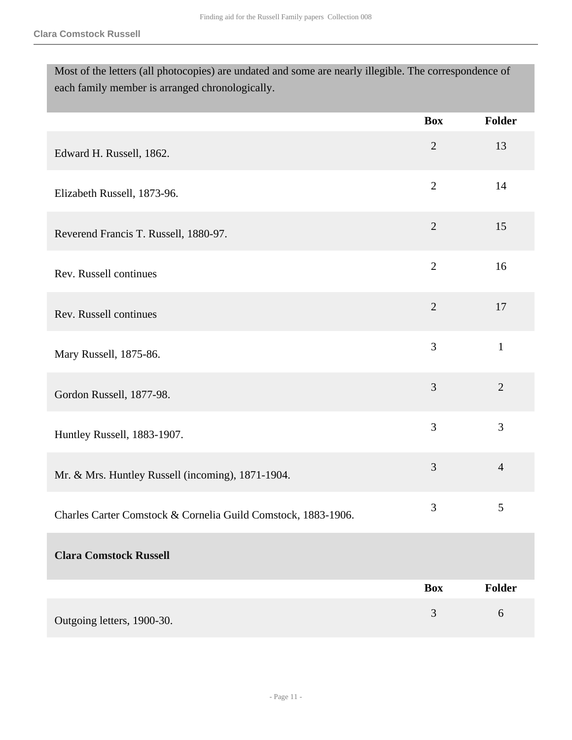Most of the letters (all photocopies) are undated and some are nearly illegible. The correspondence of each family member is arranged chronologically.

|                                                               | <b>Box</b>     | Folder         |
|---------------------------------------------------------------|----------------|----------------|
| Edward H. Russell, 1862.                                      | $\overline{2}$ | 13             |
| Elizabeth Russell, 1873-96.                                   | $\overline{2}$ | 14             |
| Reverend Francis T. Russell, 1880-97.                         | $\sqrt{2}$     | 15             |
| Rev. Russell continues                                        | $\overline{2}$ | 16             |
| Rev. Russell continues                                        | $\overline{2}$ | 17             |
| Mary Russell, 1875-86.                                        | 3              | $\mathbf{1}$   |
| Gordon Russell, 1877-98.                                      | 3              | $\overline{2}$ |
| Huntley Russell, 1883-1907.                                   | 3              | 3              |
| Mr. & Mrs. Huntley Russell (incoming), 1871-1904.             | 3              | $\overline{4}$ |
| Charles Carter Comstock & Cornelia Guild Comstock, 1883-1906. | 3              | $\mathfrak{S}$ |
| <b>Clara Comstock Russell</b>                                 |                |                |
|                                                               | <b>Box</b>     | <b>Folder</b>  |
| Outgoing letters, 1900-30.                                    | 3              | $6\,$          |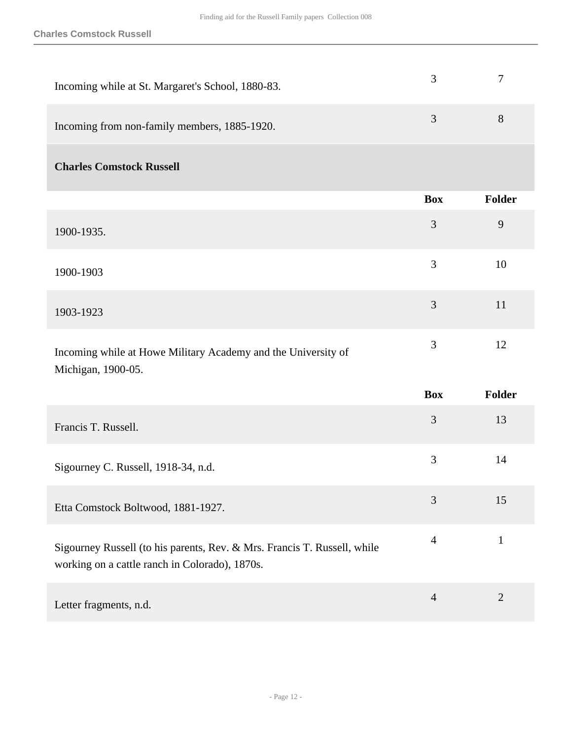| Incoming while at St. Margaret's School, 1880-83.                                   | 3              | $\overline{7}$ |
|-------------------------------------------------------------------------------------|----------------|----------------|
| Incoming from non-family members, 1885-1920.                                        | 3              | 8              |
| <b>Charles Comstock Russell</b>                                                     |                |                |
|                                                                                     | <b>Box</b>     | Folder         |
| 1900-1935.                                                                          | 3              | 9              |
| 1900-1903                                                                           | 3              | 10             |
| 1903-1923                                                                           | 3              | 11             |
| Incoming while at Howe Military Academy and the University of<br>Michigan, 1900-05. | 3              | 12             |
|                                                                                     | $\blacksquare$ | .              |

|                                                                                                                            | <b>Box</b>     | <b>Folder</b> |
|----------------------------------------------------------------------------------------------------------------------------|----------------|---------------|
| Francis T. Russell.                                                                                                        | 3              | 13            |
| Sigourney C. Russell, 1918-34, n.d.                                                                                        | 3              | 14            |
| Etta Comstock Boltwood, 1881-1927.                                                                                         | 3              | 15            |
| Sigourney Russell (to his parents, Rev. & Mrs. Francis T. Russell, while<br>working on a cattle ranch in Colorado), 1870s. | 4              |               |
| Letter fragments, n.d.                                                                                                     | $\overline{4}$ | 2             |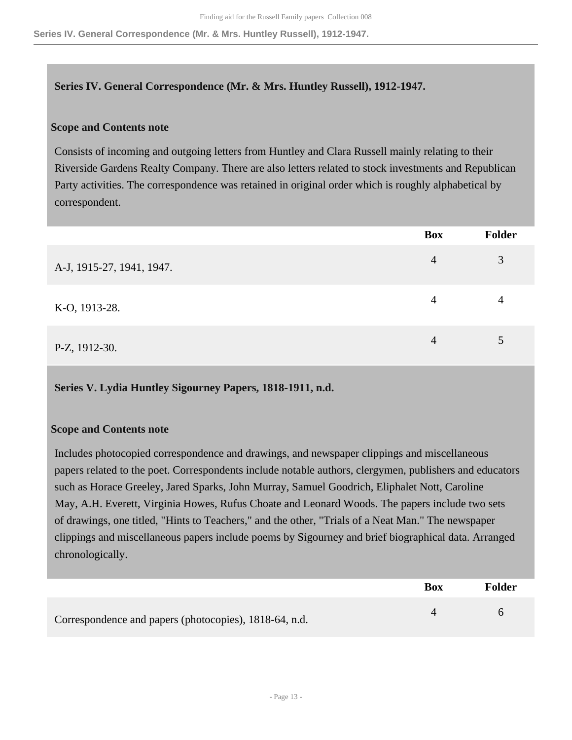#### <span id="page-12-0"></span>**Series IV. General Correspondence (Mr. & Mrs. Huntley Russell), 1912-1947.**

#### **Scope and Contents note**

Consists of incoming and outgoing letters from Huntley and Clara Russell mainly relating to their Riverside Gardens Realty Company. There are also letters related to stock investments and Republican Party activities. The correspondence was retained in original order which is roughly alphabetical by correspondent.

|                           | <b>Box</b> | Folder         |
|---------------------------|------------|----------------|
| A-J, 1915-27, 1941, 1947. | 4          | 3              |
| K-O, 1913-28.             | 4          | $\overline{4}$ |
| P-Z, 1912-30.             | 4          | 5              |

#### <span id="page-12-1"></span>**Series V. Lydia Huntley Sigourney Papers, 1818-1911, n.d.**

#### **Scope and Contents note**

Includes photocopied correspondence and drawings, and newspaper clippings and miscellaneous papers related to the poet. Correspondents include notable authors, clergymen, publishers and educators such as Horace Greeley, Jared Sparks, John Murray, Samuel Goodrich, Eliphalet Nott, Caroline May, A.H. Everett, Virginia Howes, Rufus Choate and Leonard Woods. The papers include two sets of drawings, one titled, "Hints to Teachers," and the other, "Trials of a Neat Man." The newspaper clippings and miscellaneous papers include poems by Sigourney and brief biographical data. Arranged chronologically.

|                                                        | Box | Folder |
|--------------------------------------------------------|-----|--------|
| Correspondence and papers (photocopies), 1818-64, n.d. |     |        |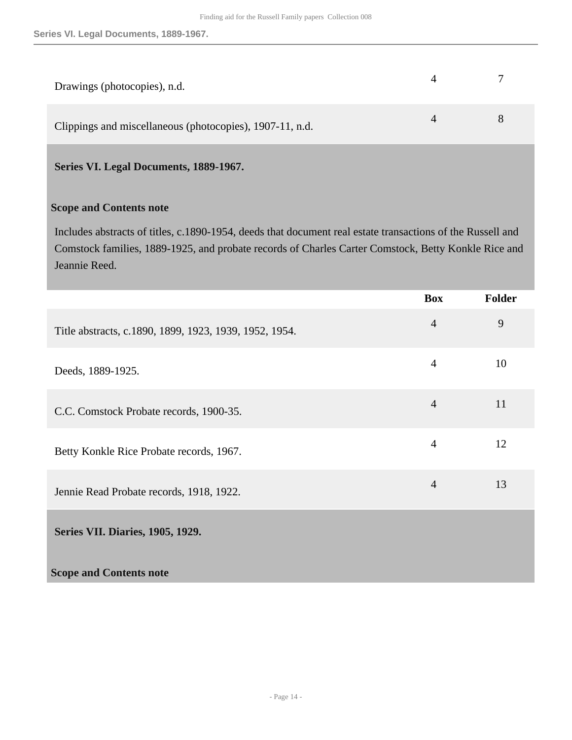| Drawings (photocopies), n.d.                             |                |  |
|----------------------------------------------------------|----------------|--|
| Clippings and miscellaneous (photocopies), 1907-11, n.d. | $\overline{4}$ |  |

<span id="page-13-0"></span>**Series VI. Legal Documents, 1889-1967.** 

#### **Scope and Contents note**

Includes abstracts of titles, c.1890-1954, deeds that document real estate transactions of the Russell and Comstock families, 1889-1925, and probate records of Charles Carter Comstock, Betty Konkle Rice and Jeannie Reed.

<span id="page-13-1"></span>

|                                                        | <b>Box</b>     | <b>Folder</b> |
|--------------------------------------------------------|----------------|---------------|
| Title abstracts, c.1890, 1899, 1923, 1939, 1952, 1954. | $\overline{4}$ | 9             |
| Deeds, 1889-1925.                                      | $\overline{4}$ | 10            |
| C.C. Comstock Probate records, 1900-35.                | $\overline{4}$ | 11            |
| Betty Konkle Rice Probate records, 1967.               | $\overline{4}$ | 12            |
| Jennie Read Probate records, 1918, 1922.               | $\overline{4}$ | 13            |
| <b>Series VII. Diaries, 1905, 1929.</b>                |                |               |
| <b>Scope and Contents note</b>                         |                |               |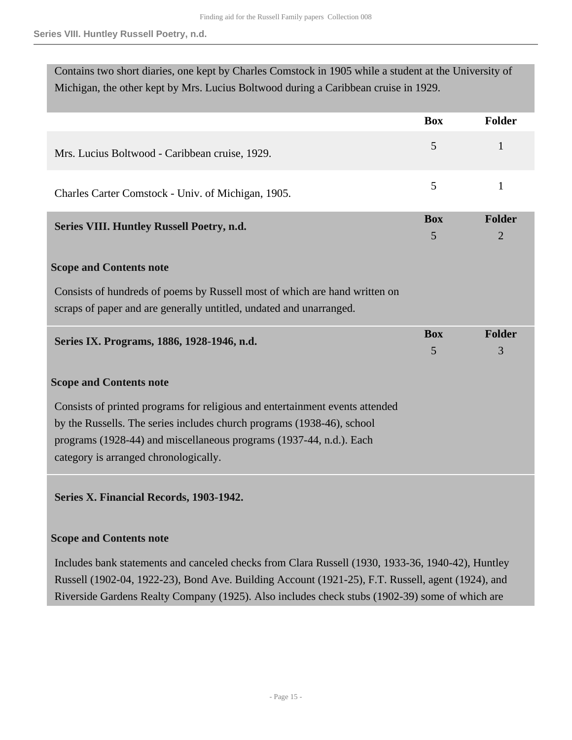<span id="page-14-0"></span>

| Contains two short diaries, one kept by Charles Comstock in 1905 while a student at the University of<br>Michigan, the other kept by Mrs. Lucius Boltwood during a Caribbean cruise in 1929. |            |                |  |
|----------------------------------------------------------------------------------------------------------------------------------------------------------------------------------------------|------------|----------------|--|
|                                                                                                                                                                                              | <b>Box</b> | <b>Folder</b>  |  |
| Mrs. Lucius Boltwood - Caribbean cruise, 1929.                                                                                                                                               | 5          | 1              |  |
| Charles Carter Comstock - Univ. of Michigan, 1905.                                                                                                                                           | 5          | $\mathbf{1}$   |  |
| Series VIII. Huntley Russell Poetry, n.d.                                                                                                                                                    | <b>Box</b> | <b>Folder</b>  |  |
|                                                                                                                                                                                              | 5          | $\overline{2}$ |  |
| <b>Scope and Contents note</b>                                                                                                                                                               |            |                |  |
| Consists of hundreds of poems by Russell most of which are hand written on<br>scraps of paper and are generally untitled, undated and unarranged.                                            |            |                |  |
| Series IX. Programs, 1886, 1928-1946, n.d.                                                                                                                                                   | <b>Box</b> | <b>Folder</b>  |  |
|                                                                                                                                                                                              | 5          | 3              |  |
| <b>Scope and Contents note</b>                                                                                                                                                               |            |                |  |
| Consists of printed programs for religious and entertainment events attended                                                                                                                 |            |                |  |
| by the Russells. The series includes church programs (1938-46), school                                                                                                                       |            |                |  |
| programs (1928-44) and miscellaneous programs (1937-44, n.d.). Each                                                                                                                          |            |                |  |
| category is arranged chronologically.                                                                                                                                                        |            |                |  |
| Series X. Financial Records, 1903-1942.                                                                                                                                                      |            |                |  |

#### <span id="page-14-2"></span><span id="page-14-1"></span>**Scope and Contents note**

Includes bank statements and canceled checks from Clara Russell (1930, 1933-36, 1940-42), Huntley Russell (1902-04, 1922-23), Bond Ave. Building Account (1921-25), F.T. Russell, agent (1924), and Riverside Gardens Realty Company (1925). Also includes check stubs (1902-39) some of which are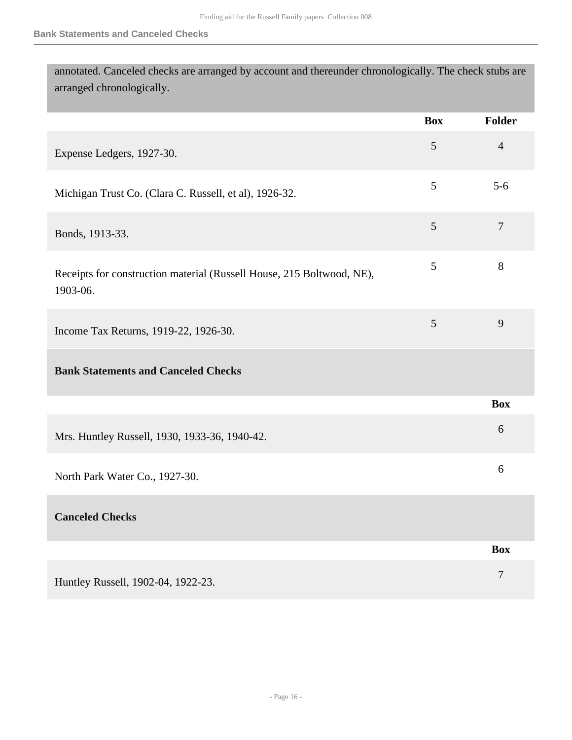| annotated. Canceled checks are arranged by account and thereunder chronologically. The check stubs are |            |        |
|--------------------------------------------------------------------------------------------------------|------------|--------|
| arranged chronologically.                                                                              |            |        |
|                                                                                                        | <b>Box</b> | Folder |
| Expense Ledgers, 1927-30.                                                                              |            | 4      |
| Michigan Trust Co. (Clara C. Russell, et al), 1926-32.                                                 |            | $5-6$  |

| Bonds, 1913-33. |  |
|-----------------|--|

| Receipts for construction material (Russell House, 215 Boltwood, NE), |  |
|-----------------------------------------------------------------------|--|
| 1903-06.                                                              |  |

| Income Tax Returns, 1919-22, 1926-30. |  |
|---------------------------------------|--|
|                                       |  |

### **Bank Statements and Canceled Checks**

| Mrs. Huntley Russell, 1930, 1933-36, 1940-42. |  |
|-----------------------------------------------|--|
|                                               |  |

North Park Water Co., 1927-30. <sup>6</sup>

**Canceled Checks** 

|                                    | <b>Box</b> |
|------------------------------------|------------|
| Huntley Russell, 1902-04, 1922-23. |            |

**Box**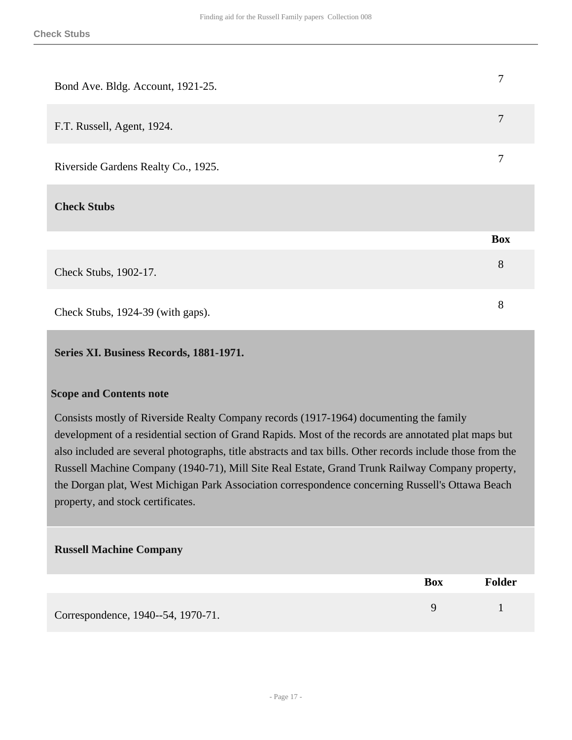| Bond Ave. Bldg. Account, 1921-25.   | 7          |
|-------------------------------------|------------|
| F.T. Russell, Agent, 1924.          | 7          |
| Riverside Gardens Realty Co., 1925. | 7          |
| <b>Check Stubs</b>                  |            |
|                                     | <b>Box</b> |
| Check Stubs, 1902-17.               | 8          |
| Check Stubs, 1924-39 (with gaps).   | 8          |

#### <span id="page-16-0"></span>**Series XI. Business Records, 1881-1971.**

#### **Scope and Contents note**

Consists mostly of Riverside Realty Company records (1917-1964) documenting the family development of a residential section of Grand Rapids. Most of the records are annotated plat maps but also included are several photographs, title abstracts and tax bills. Other records include those from the Russell Machine Company (1940-71), Mill Site Real Estate, Grand Trunk Railway Company property, the Dorgan plat, West Michigan Park Association correspondence concerning Russell's Ottawa Beach property, and stock certificates.

#### **Russell Machine Company**

|                                    | <b>Box</b> | <b>Folder</b> |
|------------------------------------|------------|---------------|
| Correspondence, 1940--54, 1970-71. |            |               |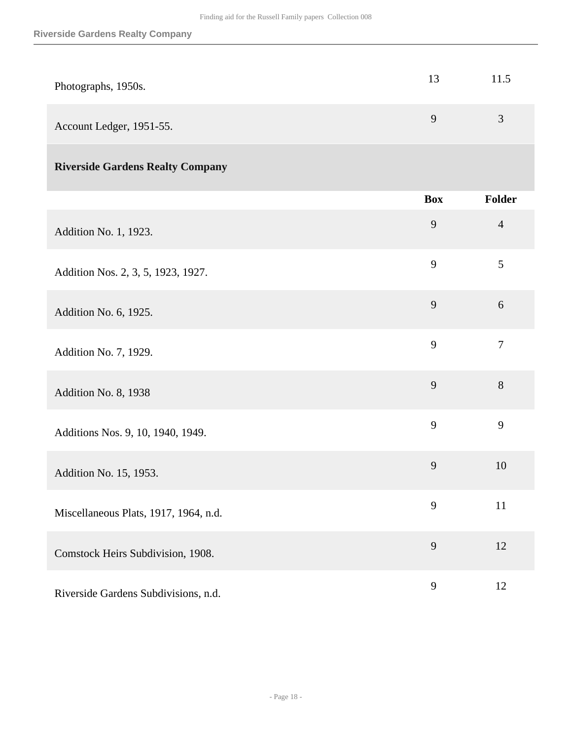| Photographs, 1950s.      | 13          | 11.5 |
|--------------------------|-------------|------|
| Account Ledger, 1951-55. | $\mathbf Q$ | 3    |

## **Riverside Gardens Realty Company**

|                                       | <b>Box</b> | Folder         |
|---------------------------------------|------------|----------------|
| Addition No. 1, 1923.                 | 9          | $\overline{4}$ |
| Addition Nos. 2, 3, 5, 1923, 1927.    | 9          | 5              |
| Addition No. 6, 1925.                 | 9          | 6              |
| Addition No. 7, 1929.                 | 9          | $\overline{7}$ |
| Addition No. 8, 1938                  | 9          | $8\,$          |
| Additions Nos. 9, 10, 1940, 1949.     | 9          | 9              |
| Addition No. 15, 1953.                | 9          | 10             |
| Miscellaneous Plats, 1917, 1964, n.d. | 9          | 11             |
| Comstock Heirs Subdivision, 1908.     | 9          | 12             |
| Riverside Gardens Subdivisions, n.d.  | 9          | 12             |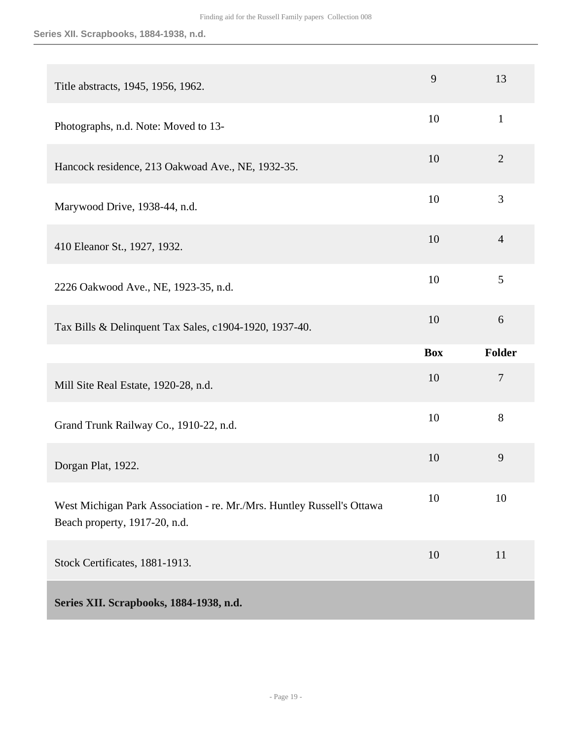#### **Series XII. Scrapbooks, 1884-1938, n.d.**

<span id="page-18-0"></span>

| Title abstracts, 1945, 1956, 1962.                                                                      | 9          | 13             |
|---------------------------------------------------------------------------------------------------------|------------|----------------|
| Photographs, n.d. Note: Moved to 13-                                                                    | 10         | $\mathbf{1}$   |
| Hancock residence, 213 Oakwoad Ave., NE, 1932-35.                                                       | 10         | $\overline{2}$ |
| Marywood Drive, 1938-44, n.d.                                                                           | 10         | 3              |
| 410 Eleanor St., 1927, 1932.                                                                            | 10         | $\overline{4}$ |
| 2226 Oakwood Ave., NE, 1923-35, n.d.                                                                    | 10         | 5              |
| Tax Bills & Delinquent Tax Sales, c1904-1920, 1937-40.                                                  | 10         | 6              |
|                                                                                                         |            |                |
|                                                                                                         | <b>Box</b> | Folder         |
| Mill Site Real Estate, 1920-28, n.d.                                                                    | 10         | $\overline{7}$ |
| Grand Trunk Railway Co., 1910-22, n.d.                                                                  | 10         | 8              |
| Dorgan Plat, 1922.                                                                                      | 10         | 9              |
| West Michigan Park Association - re. Mr./Mrs. Huntley Russell's Ottawa<br>Beach property, 1917-20, n.d. | 10         | 10             |
| Stock Certificates, 1881-1913.                                                                          | 10         | 11             |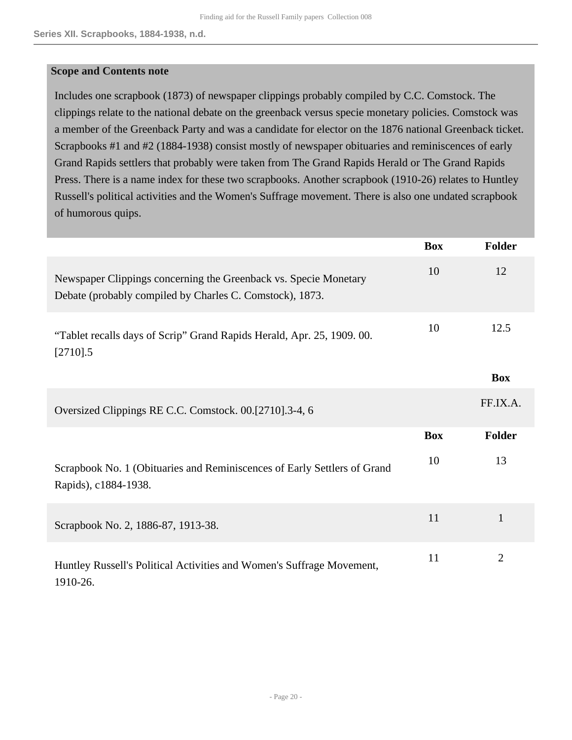#### **Scope and Contents note**

Includes one scrapbook (1873) of newspaper clippings probably compiled by C.C. Comstock. The clippings relate to the national debate on the greenback versus specie monetary policies. Comstock was a member of the Greenback Party and was a candidate for elector on the 1876 national Greenback ticket. Scrapbooks #1 and #2 (1884-1938) consist mostly of newspaper obituaries and reminiscences of early Grand Rapids settlers that probably were taken from The Grand Rapids Herald or The Grand Rapids Press. There is a name index for these two scrapbooks. Another scrapbook (1910-26) relates to Huntley Russell's political activities and the Women's Suffrage movement. There is also one undated scrapbook of humorous quips.

|                                                                                                                              | <b>Box</b> | <b>Folder</b>  |
|------------------------------------------------------------------------------------------------------------------------------|------------|----------------|
| Newspaper Clippings concerning the Greenback vs. Specie Monetary<br>Debate (probably compiled by Charles C. Comstock), 1873. | 10         | 12             |
| "Tablet recalls days of Scrip" Grand Rapids Herald, Apr. 25, 1909. 00.<br>$[2710]$ .5                                        | 10         | 12.5           |
|                                                                                                                              |            | <b>Box</b>     |
| Oversized Clippings RE C.C. Comstock. 00.[2710].3-4, 6                                                                       |            | FF.IX.A.       |
|                                                                                                                              | <b>Box</b> | <b>Folder</b>  |
| Scrapbook No. 1 (Obituaries and Reminiscences of Early Settlers of Grand<br>Rapids), c1884-1938.                             | 10         | 13             |
| Scrapbook No. 2, 1886-87, 1913-38.                                                                                           | 11         | $\mathbf{1}$   |
| Huntley Russell's Political Activities and Women's Suffrage Movement,<br>1910-26.                                            | 11         | $\overline{2}$ |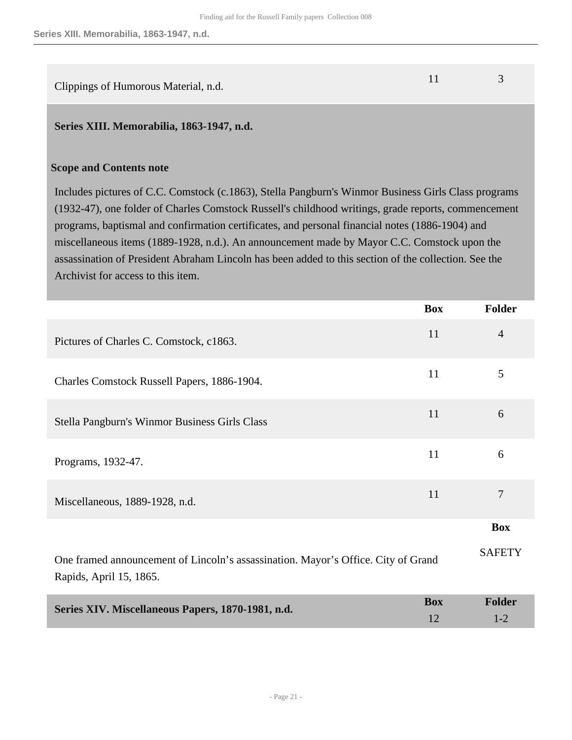| Clippings of Humorous Material, n.d. |  |
|--------------------------------------|--|

#### <span id="page-20-0"></span>**Series XIII. Memorabilia, 1863-1947, n.d.**

#### **Scope and Contents note**

Includes pictures of C.C. Comstock (c.1863), Stella Pangburn's Winmor Business Girls Class programs (1932-47), one folder of Charles Comstock Russell's childhood writings, grade reports, commencement programs, baptismal and confirmation certificates, and personal financial notes (1886-1904) and miscellaneous items (1889-1928, n.d.). An announcement made by Mayor C.C. Comstock upon the assassination of President Abraham Lincoln has been added to this section of the collection. See the Archivist for access to this item.

<span id="page-20-1"></span>

|                                                                                                              | <b>Box</b> | Folder         |
|--------------------------------------------------------------------------------------------------------------|------------|----------------|
| Pictures of Charles C. Comstock, c1863.                                                                      | 11         | $\overline{4}$ |
| Charles Comstock Russell Papers, 1886-1904.                                                                  | 11         | 5              |
| Stella Pangburn's Winmor Business Girls Class                                                                | 11         | 6              |
| Programs, 1932-47.                                                                                           | 11         | 6              |
| Miscellaneous, 1889-1928, n.d.                                                                               | 11         | $\tau$         |
|                                                                                                              |            | <b>Box</b>     |
| One framed announcement of Lincoln's assassination. Mayor's Office. City of Grand<br>Rapids, April 15, 1865. |            | <b>SAFETY</b>  |
| Series XIV. Miscellaneous Papers, 1870-1981, n.d.                                                            | <b>Box</b> | Folder         |

1-2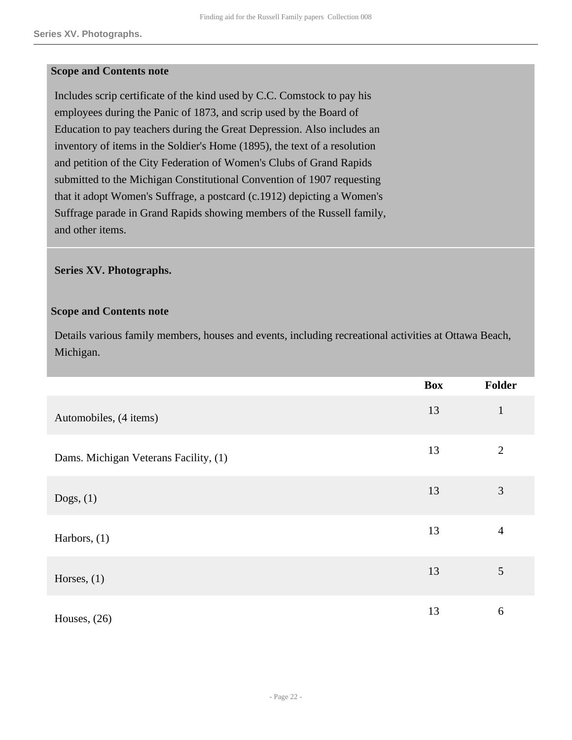#### **Scope and Contents note**

Includes scrip certificate of the kind used by C.C. Comstock to pay his employees during the Panic of 1873, and scrip used by the Board of Education to pay teachers during the Great Depression. Also includes an inventory of items in the Soldier's Home (1895), the text of a resolution and petition of the City Federation of Women's Clubs of Grand Rapids submitted to the Michigan Constitutional Convention of 1907 requesting that it adopt Women's Suffrage, a postcard (c.1912) depicting a Women's Suffrage parade in Grand Rapids showing members of the Russell family, and other items.

#### <span id="page-21-0"></span>**Series XV. Photographs.**

#### **Scope and Contents note**

Details various family members, houses and events, including recreational activities at Ottawa Beach, Michigan.

|                                       | <b>Box</b> | Folder         |
|---------------------------------------|------------|----------------|
| Automobiles, (4 items)                | 13         | $\mathbf{1}$   |
| Dams. Michigan Veterans Facility, (1) | 13         | $\overline{2}$ |
| Dogs, $(1)$                           | 13         | 3              |
| Harbors, $(1)$                        | 13         | 4              |
| Horses, $(1)$                         | 13         | 5              |
| Houses, $(26)$                        | 13         | 6              |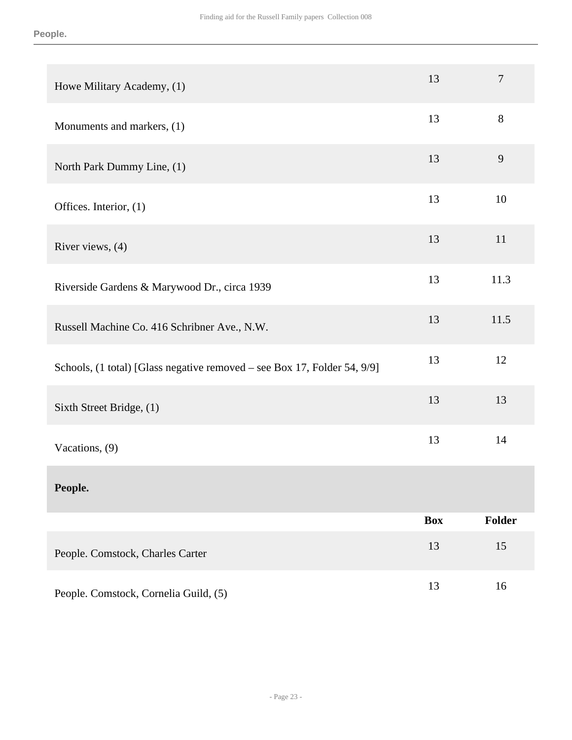| Howe Military Academy, (1)                                               | 13         | $\boldsymbol{7}$ |
|--------------------------------------------------------------------------|------------|------------------|
| Monuments and markers, (1)                                               | 13         | 8                |
| North Park Dummy Line, (1)                                               | 13         | 9                |
| Offices. Interior, (1)                                                   | 13         | 10               |
| River views, (4)                                                         | 13         | 11               |
| Riverside Gardens & Marywood Dr., circa 1939                             | 13         | 11.3             |
| Russell Machine Co. 416 Schribner Ave., N.W.                             | 13         | 11.5             |
| Schools, (1 total) [Glass negative removed - see Box 17, Folder 54, 9/9] | 13         | 12               |
| Sixth Street Bridge, (1)                                                 | 13         | 13               |
| Vacations, (9)                                                           | 13         | 14               |
| People.                                                                  |            |                  |
|                                                                          | <b>Box</b> | Folder           |
| People. Comstock, Charles Carter                                         | 13         | 15               |
| People. Comstock, Cornelia Guild, (5)                                    | 13         | 16               |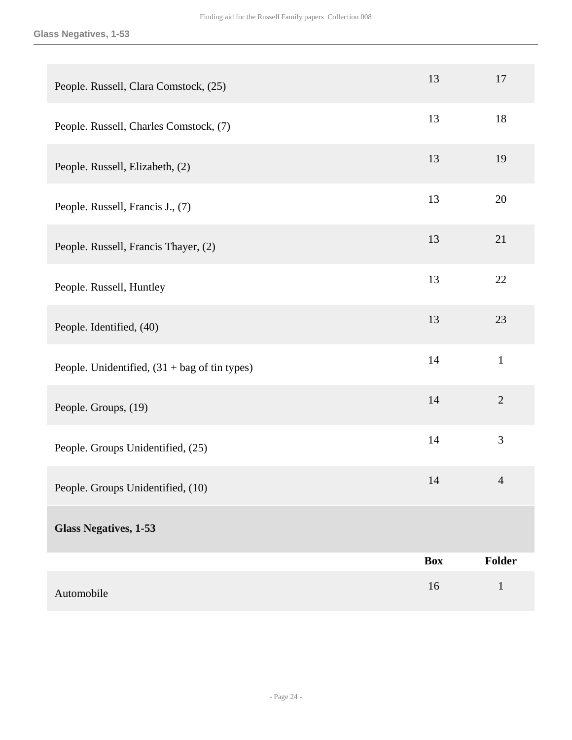| People. Russell, Clara Comstock, (25)                     | 13         | 17             |
|-----------------------------------------------------------|------------|----------------|
| People. Russell, Charles Comstock, (7)                    | 13         | 18             |
| People. Russell, Elizabeth, (2)                           | 13         | 19             |
| People. Russell, Francis J., (7)                          | 13         | 20             |
| People. Russell, Francis Thayer, (2)                      | 13         | 21             |
| People. Russell, Huntley                                  | 13         | 22             |
| People. Identified, (40)                                  | 13         | 23             |
| People. Unidentified, $(31 + bag \text{ of } t$ in types) | 14         | $\mathbf{1}$   |
| People. Groups, (19)                                      | 14         | $\overline{2}$ |
| People. Groups Unidentified, (25)                         | 14         | 3              |
| People. Groups Unidentified, (10)                         | 14         | $\overline{4}$ |
| <b>Glass Negatives, 1-53</b>                              |            |                |
|                                                           | <b>Box</b> | Folder         |
| Automobile                                                | 16         | $1\,$          |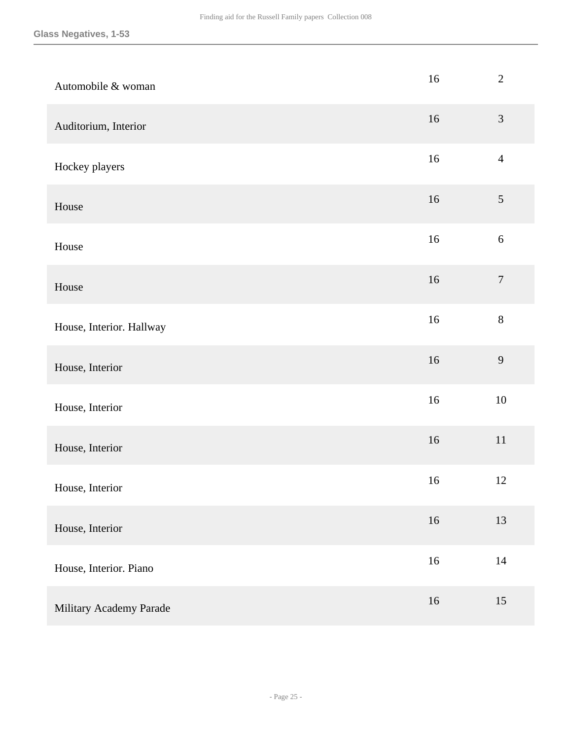| Automobile & woman       | 16     | $\overline{2}$   |
|--------------------------|--------|------------------|
| Auditorium, Interior     | 16     | $\mathfrak{Z}$   |
| Hockey players           | $16\,$ | $\overline{4}$   |
| House                    | 16     | $\mathfrak{S}$   |
| House                    | 16     | $6\,$            |
| House                    | 16     | $\boldsymbol{7}$ |
| House, Interior. Hallway | $16\,$ | $8\,$            |
| House, Interior          | $16\,$ | 9                |
| House, Interior          | $16\,$ | 10               |
| House, Interior          | 16     | $11\,$           |
| House, Interior          | 16     | 12               |
| House, Interior          | 16     | 13               |
| House, Interior. Piano   | $16\,$ | $14\,$           |
| Military Academy Parade  | $16\,$ | 15               |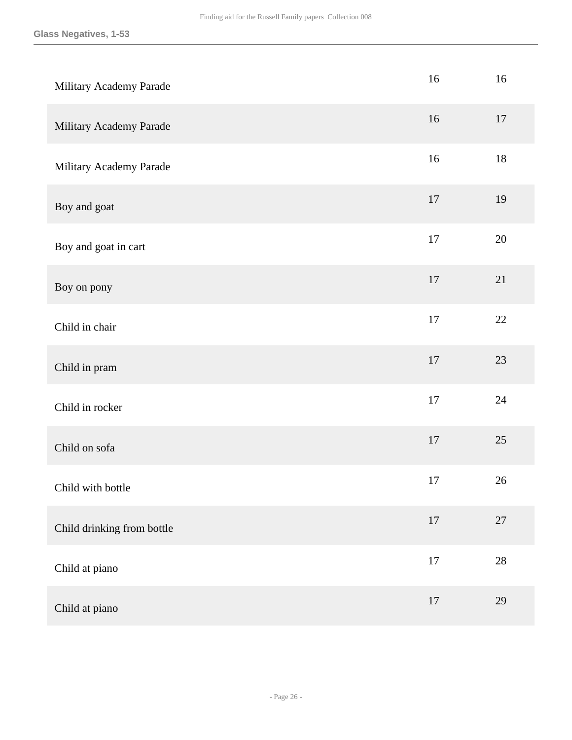| Military Academy Parade    | $16\,$ | 16     |
|----------------------------|--------|--------|
| Military Academy Parade    | 16     | 17     |
| Military Academy Parade    | $16\,$ | $18\,$ |
| Boy and goat               | $17\,$ | 19     |
| Boy and goat in cart       | $17\,$ | $20\,$ |
| Boy on pony                | $17\,$ | 21     |
| Child in chair             | 17     | 22     |
| Child in pram              | 17     | 23     |
| Child in rocker            | $17\,$ | 24     |
| Child on sofa              | $17\,$ | 25     |
| Child with bottle          | 17     | 26     |
| Child drinking from bottle | $17\,$ | $27\,$ |
| Child at piano             | $17\,$ | $28\,$ |
| Child at piano             | $17\,$ | 29     |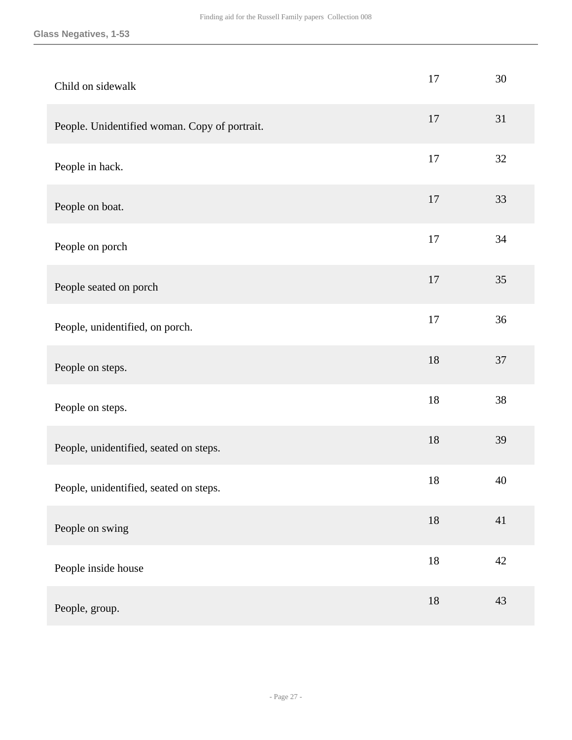#### **Glass Negatives, 1-53**

| Child on sidewalk                             | 17     | 30     |
|-----------------------------------------------|--------|--------|
| People. Unidentified woman. Copy of portrait. | 17     | 31     |
| People in hack.                               | 17     | 32     |
| People on boat.                               | 17     | 33     |
| People on porch                               | 17     | 34     |
| People seated on porch                        | 17     | 35     |
| People, unidentified, on porch.               | 17     | 36     |
| People on steps.                              | 18     | 37     |
| People on steps.                              | 18     | 38     |
| People, unidentified, seated on steps.        | 18     | 39     |
| People, unidentified, seated on steps.        | 18     | 40     |
| People on swing                               | $18\,$ | 41     |
| People inside house                           | $18\,$ | $42\,$ |
| People, group.                                | $18\,$ | 43     |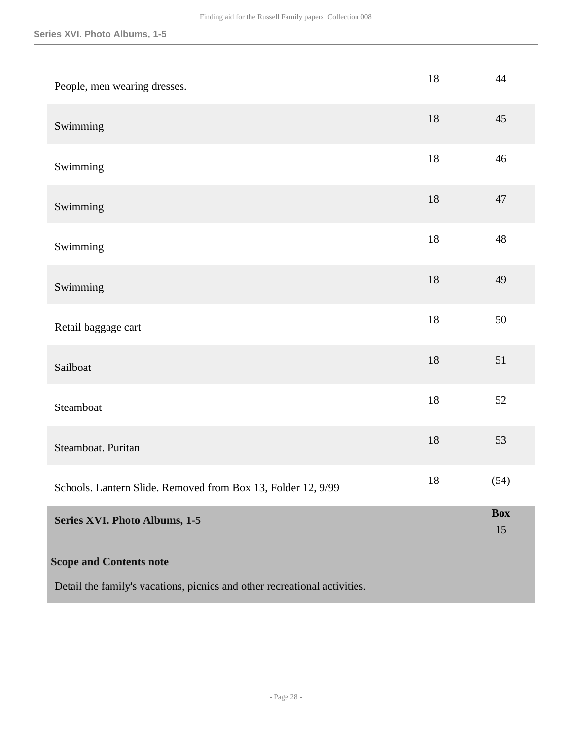<span id="page-27-0"></span>

| People, men wearing dresses.                                              | 18     | 44               |
|---------------------------------------------------------------------------|--------|------------------|
| Swimming                                                                  | 18     | 45               |
| Swimming                                                                  | $18\,$ | 46               |
| Swimming                                                                  | 18     | 47               |
| Swimming                                                                  | $18\,$ | 48               |
| Swimming                                                                  | 18     | 49               |
| Retail baggage cart                                                       | $18\,$ | 50               |
| Sailboat                                                                  | $18\,$ | 51               |
| Steamboat                                                                 | 18     | 52               |
| Steamboat. Puritan                                                        | $18\,$ | 53               |
| Schools. Lantern Slide. Removed from Box 13, Folder 12, 9/99              | 18     | (54)             |
| Series XVI. Photo Albums, 1-5                                             |        | <b>Box</b><br>15 |
| <b>Scope and Contents note</b>                                            |        |                  |
| Detail the family's vacations, picnics and other recreational activities. |        |                  |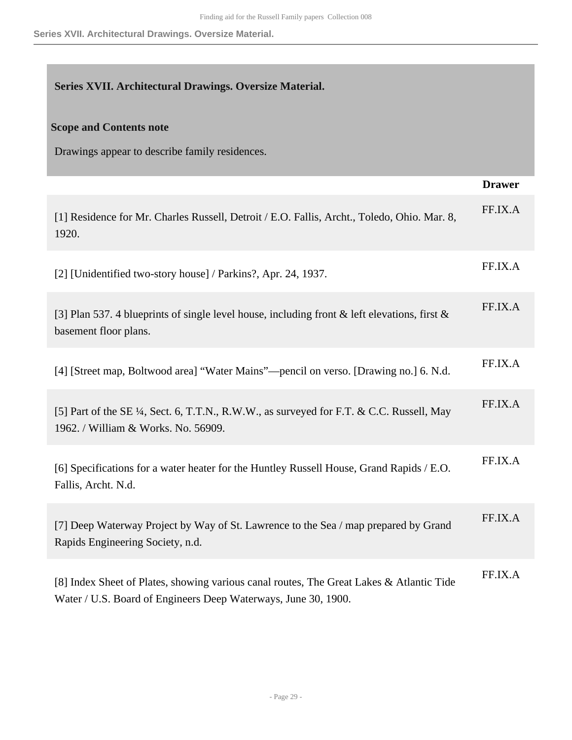### <span id="page-28-0"></span>**Series XVII. Architectural Drawings. Oversize Material.**

#### **Scope and Contents note**

Drawings appear to describe family residences.

|                                                                                                                                                            | <b>Drawer</b> |
|------------------------------------------------------------------------------------------------------------------------------------------------------------|---------------|
| [1] Residence for Mr. Charles Russell, Detroit / E.O. Fallis, Archt., Toledo, Ohio. Mar. 8,<br>1920.                                                       | FF.IX.A       |
| [2] [Unidentified two-story house] / Parkins?, Apr. 24, 1937.                                                                                              | FF.IX.A       |
| [3] Plan 537. 4 blueprints of single level house, including front & left elevations, first &<br>basement floor plans.                                      | FF.IX.A       |
| [4] [Street map, Boltwood area] "Water Mains"—pencil on verso. [Drawing no.] 6. N.d.                                                                       | FF.IX.A       |
| [5] Part of the SE ¼, Sect. 6, T.T.N., R.W.W., as surveyed for F.T. & C.C. Russell, May<br>1962. / William & Works. No. 56909.                             | FF.IX.A       |
| [6] Specifications for a water heater for the Huntley Russell House, Grand Rapids / E.O.<br>Fallis, Archt. N.d.                                            | FF.IX.A       |
| [7] Deep Waterway Project by Way of St. Lawrence to the Sea / map prepared by Grand<br>Rapids Engineering Society, n.d.                                    | FF.IX.A       |
| [8] Index Sheet of Plates, showing various canal routes, The Great Lakes & Atlantic Tide<br>Water / U.S. Board of Engineers Deep Waterways, June 30, 1900. | FF.IX.A       |